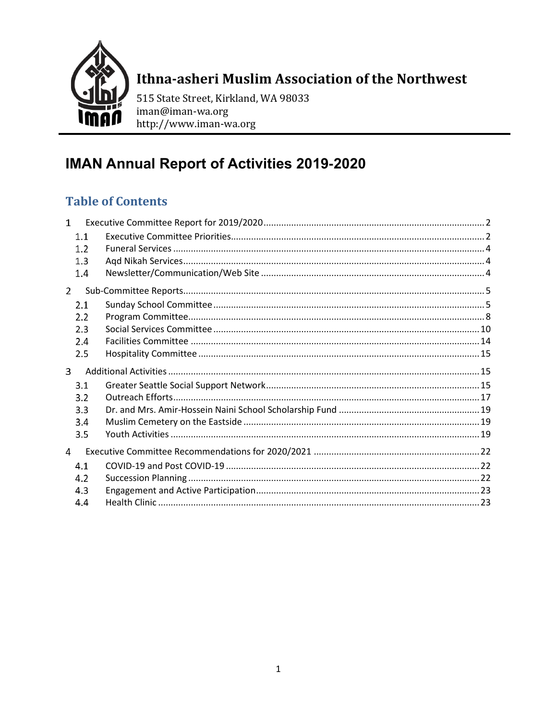

# Ithna-asheri Muslim Association of the Northwest

515 State Street, Kirkland, WA 98033 iman@iman-wa.org http://www.iman-wa.org

# **IMAN Annual Report of Activities 2019-2020**

## **Table of Contents**

| $\mathbf{1}$ |     |  |
|--------------|-----|--|
|              | 1.1 |  |
|              | 1.2 |  |
|              | 1.3 |  |
|              | 1.4 |  |
| 2            |     |  |
|              | 2.1 |  |
|              | 2.2 |  |
|              | 2.3 |  |
|              | 2.4 |  |
|              | 2.5 |  |
|              |     |  |
| 3            |     |  |
|              | 3.1 |  |
|              | 3.2 |  |
|              | 3.3 |  |
|              | 3.4 |  |
|              | 3.5 |  |
| 4            |     |  |
|              | 4.1 |  |
|              | 4.2 |  |
|              | 4.3 |  |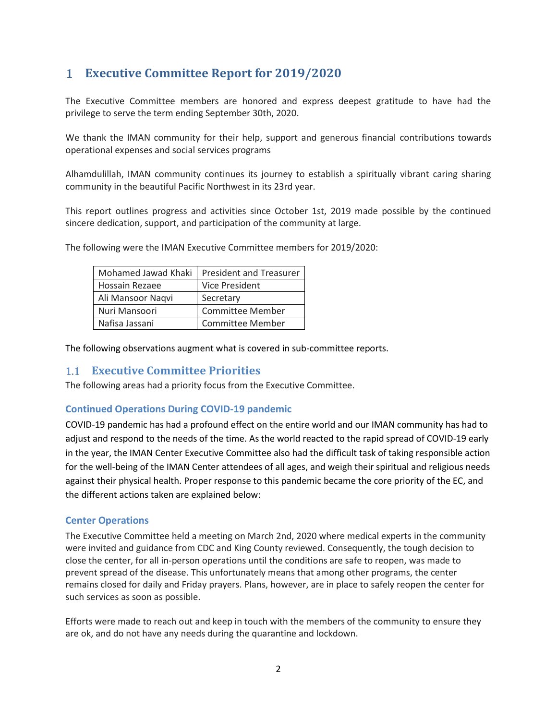## <span id="page-1-0"></span>**Executive Committee Report for 2019/2020**

The Executive Committee members are honored and express deepest gratitude to have had the privilege to serve the term ending September 30th, 2020.

We thank the IMAN community for their help, support and generous financial contributions towards operational expenses and social services programs

Alhamdulillah, IMAN community continues its journey to establish a spiritually vibrant caring sharing community in the beautiful Pacific Northwest in its 23rd year.

This report outlines progress and activities since October 1st, 2019 made possible by the continued sincere dedication, support, and participation of the community at large.

| Mohamed Jawad Khaki | <b>President and Treasurer</b> |
|---------------------|--------------------------------|
| Hossain Rezaee      | Vice President                 |
| Ali Mansoor Naqvi   | Secretary                      |
| Nuri Mansoori       | <b>Committee Member</b>        |
| Nafisa Jassani      | <b>Committee Member</b>        |

The following were the IMAN Executive Committee members for 2019/2020:

The following observations augment what is covered in sub-committee reports.

## <span id="page-1-1"></span>**Executive Committee Priorities**

The following areas had a priority focus from the Executive Committee.

## **Continued Operations During COVID-19 pandemic**

COVID-19 pandemic has had a profound effect on the entire world and our IMAN community has had to adjust and respond to the needs of the time. As the world reacted to the rapid spread of COVID-19 early in the year, the IMAN Center Executive Committee also had the difficult task of taking responsible action for the well-being of the IMAN Center attendees of all ages, and weigh their spiritual and religious needs against their physical health. Proper response to this pandemic became the core priority of the EC, and the different actions taken are explained below:

#### **Center Operations**

The Executive Committee held a meeting on March 2nd, 2020 where medical experts in the community were invited and guidance from CDC and King County reviewed. Consequently, the tough decision to close the center, for all in-person operations until the conditions are safe to reopen, was made to prevent spread of the disease. This unfortunately means that among other programs, the center remains closed for daily and Friday prayers. Plans, however, are in place to safely reopen the center for such services as soon as possible.

Efforts were made to reach out and keep in touch with the members of the community to ensure they are ok, and do not have any needs during the quarantine and lockdown.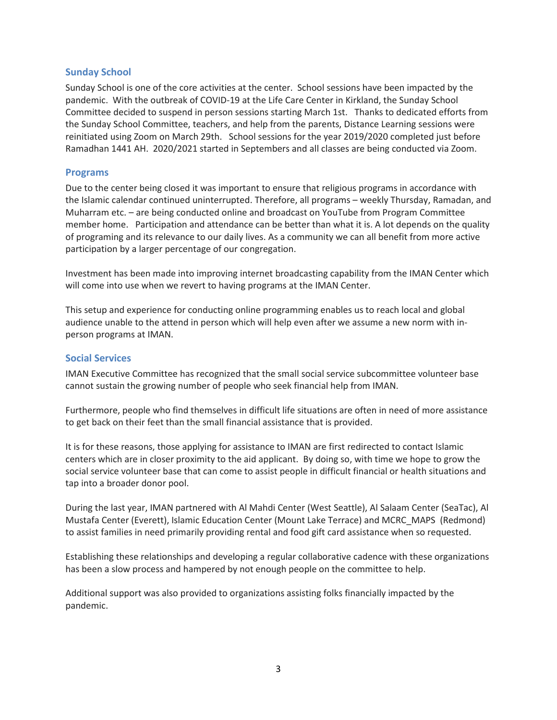#### **Sunday School**

Sunday School is one of the core activities at the center. School sessions have been impacted by the pandemic. With the outbreak of COVID-19 at the Life Care Center in Kirkland, the Sunday School Committee decided to suspend in person sessions starting March 1st. Thanks to dedicated efforts from the Sunday School Committee, teachers, and help from the parents, Distance Learning sessions were reinitiated using Zoom on March 29th. School sessions for the year 2019/2020 completed just before Ramadhan 1441 AH. 2020/2021 started in Septembers and all classes are being conducted via Zoom.

#### **Programs**

Due to the center being closed it was important to ensure that religious programs in accordance with the Islamic calendar continued uninterrupted. Therefore, all programs – weekly Thursday, Ramadan, and Muharram etc. – are being conducted online and broadcast on YouTube from Program Committee member home. Participation and attendance can be better than what it is. A lot depends on the quality of programing and its relevance to our daily lives. As a community we can all benefit from more active participation by a larger percentage of our congregation.

Investment has been made into improving internet broadcasting capability from the IMAN Center which will come into use when we revert to having programs at the IMAN Center.

This setup and experience for conducting online programming enables us to reach local and global audience unable to the attend in person which will help even after we assume a new norm with inperson programs at IMAN.

#### **Social Services**

IMAN Executive Committee has recognized that the small social service subcommittee volunteer base cannot sustain the growing number of people who seek financial help from IMAN.

Furthermore, people who find themselves in difficult life situations are often in need of more assistance to get back on their feet than the small financial assistance that is provided.

It is for these reasons, those applying for assistance to IMAN are first redirected to contact Islamic centers which are in closer proximity to the aid applicant. By doing so, with time we hope to grow the social service volunteer base that can come to assist people in difficult financial or health situations and tap into a broader donor pool.

During the last year, IMAN partnered with Al Mahdi Center (West Seattle), Al Salaam Center (SeaTac), Al Mustafa Center (Everett), Islamic Education Center (Mount Lake Terrace) and MCRC\_MAPS (Redmond) to assist families in need primarily providing rental and food gift card assistance when so requested.

Establishing these relationships and developing a regular collaborative cadence with these organizations has been a slow process and hampered by not enough people on the committee to help.

Additional support was also provided to organizations assisting folks financially impacted by the pandemic.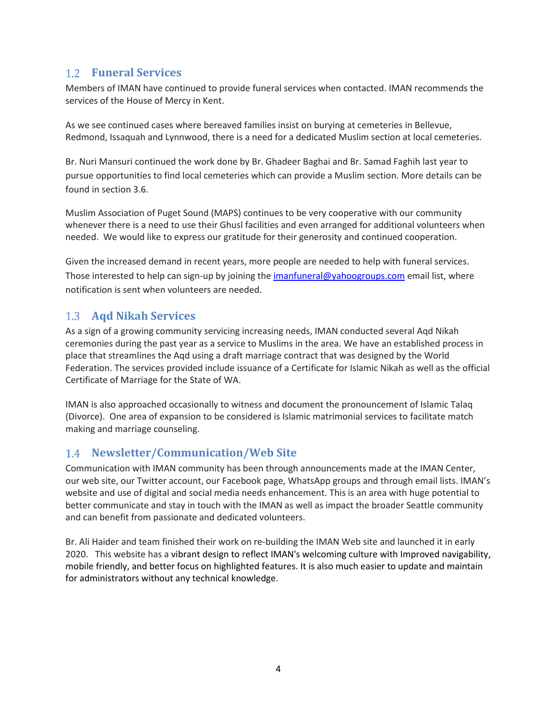## <span id="page-3-0"></span>**Funeral Services**

Members of IMAN have continued to provide funeral services when contacted. IMAN recommends the services of the House of Mercy in Kent.

As we see continued cases where bereaved families insist on burying at cemeteries in Bellevue, Redmond, Issaquah and Lynnwood, there is a need for a dedicated Muslim section at local cemeteries.

Br. Nuri Mansuri continued the work done by Br. Ghadeer Baghai and Br. Samad Faghih last year to pursue opportunities to find local cemeteries which can provide a Muslim section. More details can be found in section 3.6.

Muslim Association of Puget Sound (MAPS) continues to be very cooperative with our community whenever there is a need to use their Ghusl facilities and even arranged for additional volunteers when needed. We would like to express our gratitude for their generosity and continued cooperation.

Given the increased demand in recent years, more people are needed to help with funeral services. Those interested to help can sign-up by joining th[e imanfuneral@yahoogroups.com](mailto:imanfuneral@yahoogroups.com) email list, where notification is sent when volunteers are needed.

## <span id="page-3-1"></span>**Aqd Nikah Services**

As a sign of a growing community servicing increasing needs, IMAN conducted several Aqd Nikah ceremonies during the past year as a service to Muslims in the area. We have an established process in place that streamlines the Aqd using a draft marriage contract that was designed by the World Federation. The services provided include issuance of a Certificate for Islamic Nikah as well as the official Certificate of Marriage for the State of WA.

IMAN is also approached occasionally to witness and document the pronouncement of Islamic Talaq (Divorce). One area of expansion to be considered is Islamic matrimonial services to facilitate match making and marriage counseling.

## <span id="page-3-2"></span>**Newsletter/Communication/Web Site**

Communication with IMAN community has been through announcements made at the IMAN Center, our web site, our Twitter account, our Facebook page, WhatsApp groups and through email lists. IMAN's website and use of digital and social media needs enhancement. This is an area with huge potential to better communicate and stay in touch with the IMAN as well as impact the broader Seattle community and can benefit from passionate and dedicated volunteers.

Br. Ali Haider and team finished their work on re-building the IMAN Web site and launched it in early 2020. This website has a vibrant design to reflect IMAN's welcoming culture with Improved navigability, mobile friendly, and better focus on highlighted features. It is also much easier to update and maintain for administrators without any technical knowledge.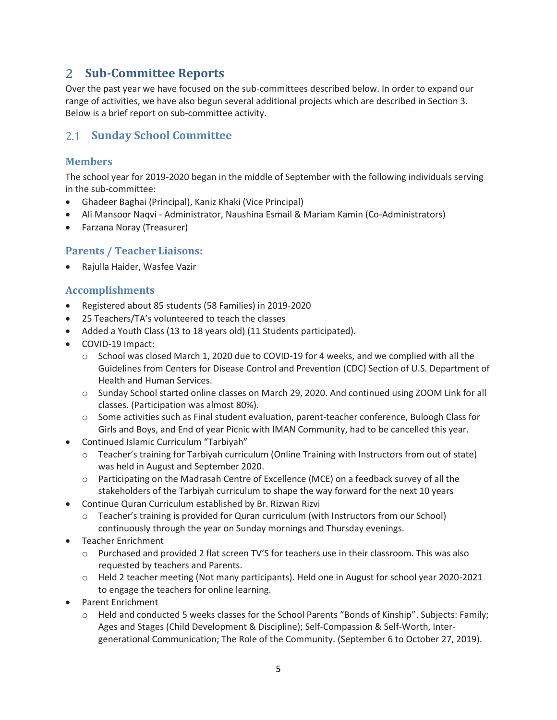## <span id="page-4-0"></span>**Sub-Committee Reports**

Over the past year we have focused on the sub-committees described below. In order to expand our range of activities, we have also begun several additional projects which are described in Section 3. Below is a brief report on sub-committee activity.

## <span id="page-4-1"></span>**Sunday School Committee**

## **Members**

The school year for 2019-2020 began in the middle of September with the following individuals serving in the sub-committee:

- Ghadeer Baghai (Principal), Kaniz Khaki (Vice Principal)
- Ali Mansoor Naqvi Administrator, Naushina Esmail & Mariam Kamin (Co-Administrators)
- Farzana Noray (Treasurer)

## **Parents / Teacher Liaisons:**

• Rajulla Haider, Wasfee Vazir

## **Accomplishments**

- Registered about 85 students (58 Families) in 2019-2020
- 25 Teachers/TA's volunteered to teach the classes
- Added a Youth Class (13 to 18 years old) (11 Students participated).
- COVID-19 Impact:
	- $\circ$  School was closed March 1, 2020 due to COVID-19 for 4 weeks, and we complied with all the Guidelines from Centers for Disease Control and Prevention (CDC) Section of U.S. Department of Health and Human Services.
	- o Sunday School started online classes on March 29, 2020. And continued using ZOOM Link for all classes. (Participation was almost 80%).
	- o Some activities such as Final student evaluation, parent-teacher conference, Buloogh Class for Girls and Boys, and End of year Picnic with IMAN Community, had to be cancelled this year.
- Continued Islamic Curriculum "Tarbiyah"
	- o Teacher's training for Tarbiyah curriculum (Online Training with Instructors from out of state) was held in August and September 2020.
	- o Participating on the Madrasah Centre of Excellence (MCE) on a feedback survey of all the stakeholders of the Tarbiyah curriculum to shape the way forward for the next 10 years
- Continue Quran Curriculum established by Br. Rizwan Rizvi
	- Teacher's training is provided for Quran curriculum (with Instructors from our School) continuously through the year on Sunday mornings and Thursday evenings.
- Teacher Enrichment
	- o Purchased and provided 2 flat screen TV'S for teachers use in their classroom. This was also requested by teachers and Parents.
	- o Held 2 teacher meeting (Not many participants). Held one in August for school year 2020-2021 to engage the teachers for online learning.
- Parent Enrichment
	- o Held and conducted 5 weeks classes for the School Parents "Bonds of Kinship". Subjects: Family; Ages and Stages (Child Development & Discipline); Self-Compassion & Self-Worth, Intergenerational Communication; The Role of the Community. (September 6 to October 27, 2019).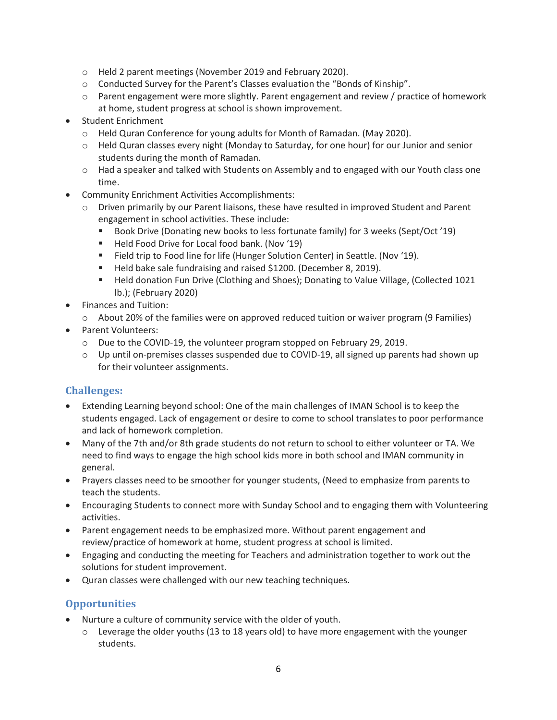- o Held 2 parent meetings (November 2019 and February 2020).
- o Conducted Survey for the Parent's Classes evaluation the "Bonds of Kinship".
- o Parent engagement were more slightly. Parent engagement and review / practice of homework at home, student progress at school is shown improvement.
- Student Enrichment
	- o Held Quran Conference for young adults for Month of Ramadan. (May 2020).
	- o Held Quran classes every night (Monday to Saturday, for one hour) for our Junior and senior students during the month of Ramadan.
	- o Had a speaker and talked with Students on Assembly and to engaged with our Youth class one time.
- Community Enrichment Activities Accomplishments:
	- o Driven primarily by our Parent liaisons, these have resulted in improved Student and Parent engagement in school activities. These include:
		- Book Drive (Donating new books to less fortunate family) for 3 weeks (Sept/Oct '19)
		- Held Food Drive for Local food bank. (Nov '19)
		- Field trip to Food line for life (Hunger Solution Center) in Seattle. (Nov '19).
		- Held bake sale fundraising and raised \$1200. (December 8, 2019).
		- Held donation Fun Drive (Clothing and Shoes); Donating to Value Village, (Collected 1021 lb.); (February 2020)
- Finances and Tuition:
	- $\circ$  About 20% of the families were on approved reduced tuition or waiver program (9 Families)
- Parent Volunteers:
	- $\circ$  Due to the COVID-19, the volunteer program stopped on February 29, 2019.
	- o Up until on-premises classes suspended due to COVID-19, all signed up parents had shown up for their volunteer assignments.

## **Challenges:**

- Extending Learning beyond school: One of the main challenges of IMAN School is to keep the students engaged. Lack of engagement or desire to come to school translates to poor performance and lack of homework completion.
- Many of the 7th and/or 8th grade students do not return to school to either volunteer or TA. We need to find ways to engage the high school kids more in both school and IMAN community in general.
- Prayers classes need to be smoother for younger students, (Need to emphasize from parents to teach the students.
- Encouraging Students to connect more with Sunday School and to engaging them with Volunteering activities.
- Parent engagement needs to be emphasized more. Without parent engagement and review/practice of homework at home, student progress at school is limited.
- Engaging and conducting the meeting for Teachers and administration together to work out the solutions for student improvement.
- Quran classes were challenged with our new teaching techniques.

## **Opportunities**

- Nurture a culture of community service with the older of youth.
	- $\circ$  Leverage the older youths (13 to 18 years old) to have more engagement with the younger students.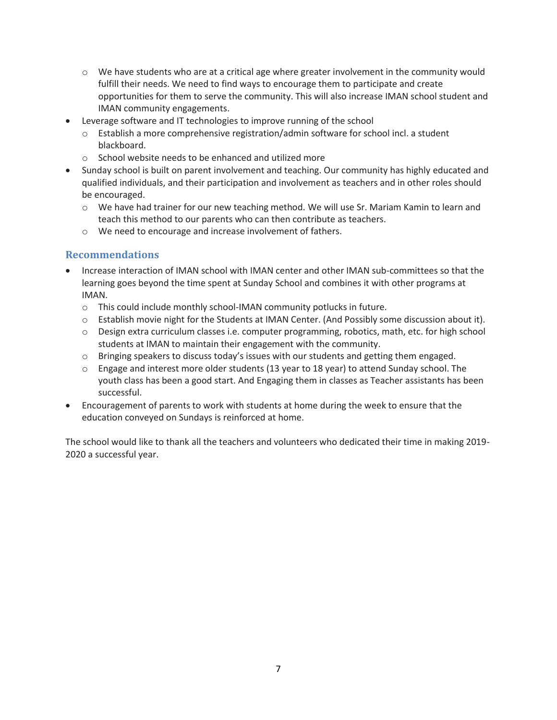- $\circ$  We have students who are at a critical age where greater involvement in the community would fulfill their needs. We need to find ways to encourage them to participate and create opportunities for them to serve the community. This will also increase IMAN school student and IMAN community engagements.
- Leverage software and IT technologies to improve running of the school
	- o Establish a more comprehensive registration/admin software for school incl. a student blackboard.
	- o School website needs to be enhanced and utilized more
- Sunday school is built on parent involvement and teaching. Our community has highly educated and qualified individuals, and their participation and involvement as teachers and in other roles should be encouraged.
	- o We have had trainer for our new teaching method. We will use Sr. Mariam Kamin to learn and teach this method to our parents who can then contribute as teachers.
	- o We need to encourage and increase involvement of fathers.

## **Recommendations**

- Increase interaction of IMAN school with IMAN center and other IMAN sub-committees so that the learning goes beyond the time spent at Sunday School and combines it with other programs at IMAN.
	- $\circ$  This could include monthly school-IMAN community potlucks in future.
	- o Establish movie night for the Students at IMAN Center. (And Possibly some discussion about it).
	- o Design extra curriculum classes i.e. computer programming, robotics, math, etc. for high school students at IMAN to maintain their engagement with the community.
	- $\circ$  Bringing speakers to discuss today's issues with our students and getting them engaged.
	- o Engage and interest more older students (13 year to 18 year) to attend Sunday school. The youth class has been a good start. And Engaging them in classes as Teacher assistants has been successful.
- Encouragement of parents to work with students at home during the week to ensure that the education conveyed on Sundays is reinforced at home.

The school would like to thank all the teachers and volunteers who dedicated their time in making 2019- 2020 a successful year.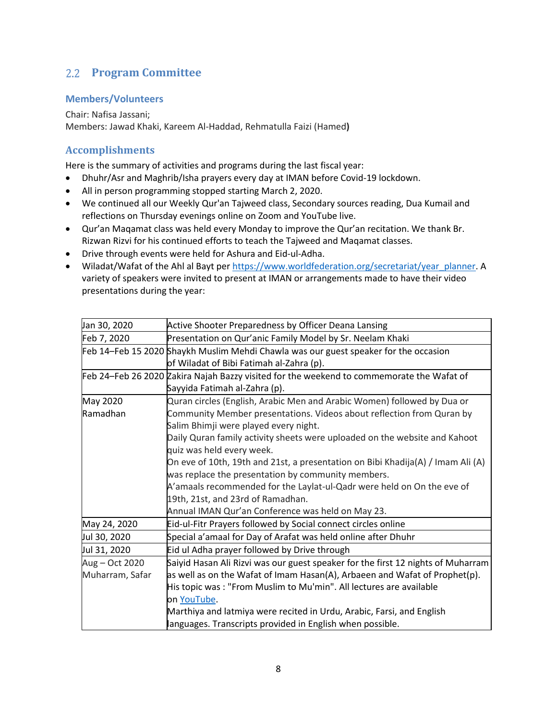## <span id="page-7-0"></span>**Program Committee**

## **Members/Volunteers**

Chair: Nafisa Jassani; Members: Jawad Khaki, Kareem Al-Haddad, Rehmatulla Faizi (Hamed**)**

## **Accomplishments**

Here is the summary of activities and programs during the last fiscal year:

- Dhuhr/Asr and Maghrib/Isha prayers every day at IMAN before Covid-19 lockdown.
- All in person programming stopped starting March 2, 2020.
- We continued all our Weekly Qur'an Tajweed class, Secondary sources reading, Dua Kumail and reflections on Thursday evenings online on Zoom and YouTube live.
- Qur'an Maqamat class was held every Monday to improve the Qur'an recitation. We thank Br. Rizwan Rizvi for his continued efforts to teach the Tajweed and Maqamat classes.
- Drive through events were held for Ashura and Eid-ul-Adha.
- Wiladat/Wafat of the Ahl al Bayt per [https://www.worldfederation.org/secretariat/year\\_planner.](https://www.worldfederation.org/secretariat/year_planner) A variety of speakers were invited to present at IMAN or arrangements made to have their video presentations during the year:

| Jan 30, 2020    | Active Shooter Preparedness by Officer Deana Lansing                                      |
|-----------------|-------------------------------------------------------------------------------------------|
| Feb 7, 2020     | Presentation on Qur'anic Family Model by Sr. Neelam Khaki                                 |
|                 | Feb 14-Feb 15 2020 Shaykh Muslim Mehdi Chawla was our guest speaker for the occasion      |
|                 | of Wiladat of Bibi Fatimah al-Zahra (p).                                                  |
|                 | Feb 24-Feb 26 2020 Zakira Najah Bazzy visited for the weekend to commemorate the Wafat of |
|                 | Sayyida Fatimah al-Zahra (p).                                                             |
| May 2020        | Quran circles (English, Arabic Men and Arabic Women) followed by Dua or                   |
| Ramadhan        | Community Member presentations. Videos about reflection from Quran by                     |
|                 | Salim Bhimji were played every night.                                                     |
|                 | Daily Quran family activity sheets were uploaded on the website and Kahoot                |
|                 | quiz was held every week.                                                                 |
|                 | On eve of 10th, 19th and 21st, a presentation on Bibi Khadija(A) / Imam Ali (A)           |
|                 | was replace the presentation by community members.                                        |
|                 | A'amaals recommended for the Laylat-ul-Qadr were held on On the eve of                    |
|                 | 19th, 21st, and 23rd of Ramadhan.                                                         |
|                 | Annual IMAN Qur'an Conference was held on May 23.                                         |
| May 24, 2020    | Eid-ul-Fitr Prayers followed by Social connect circles online                             |
| Jul 30, 2020    | Special a'amaal for Day of Arafat was held online after Dhuhr                             |
| Jul 31, 2020    | Eid ul Adha prayer followed by Drive through                                              |
| Aug - Oct 2020  | Saiyid Hasan Ali Rizvi was our guest speaker for the first 12 nights of Muharram          |
| Muharram, Safar | as well as on the Wafat of Imam Hasan(A), Arbaeen and Wafat of Prophet(p).                |
|                 | His topic was: "From Muslim to Mu'min". All lectures are available                        |
|                 | on YouTube.                                                                               |
|                 | Marthiya and latmiya were recited in Urdu, Arabic, Farsi, and English                     |
|                 | languages. Transcripts provided in English when possible.                                 |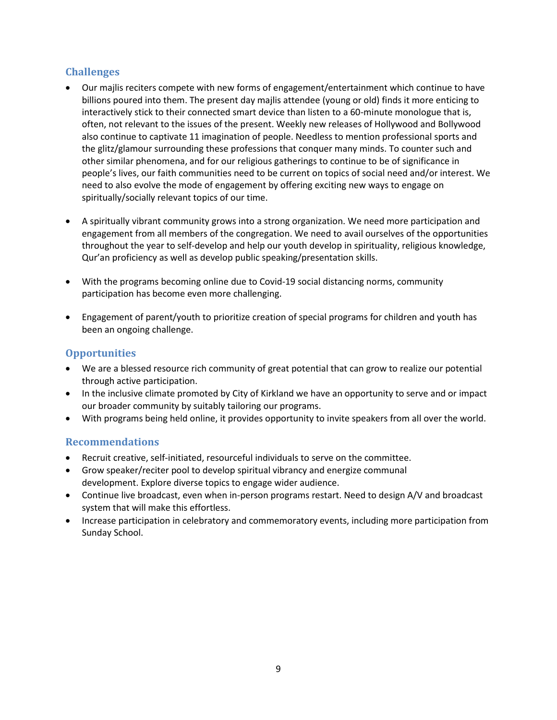## **Challenges**

- Our majlis reciters compete with new forms of engagement/entertainment which continue to have billions poured into them. The present day majlis attendee (young or old) finds it more enticing to interactively stick to their connected smart device than listen to a 60-minute monologue that is, often, not relevant to the issues of the present. Weekly new releases of Hollywood and Bollywood also continue to captivate 11 imagination of people. Needless to mention professional sports and the glitz/glamour surrounding these professions that conquer many minds. To counter such and other similar phenomena, and for our religious gatherings to continue to be of significance in people's lives, our faith communities need to be current on topics of social need and/or interest. We need to also evolve the mode of engagement by offering exciting new ways to engage on spiritually/socially relevant topics of our time.
- A spiritually vibrant community grows into a strong organization. We need more participation and engagement from all members of the congregation. We need to avail ourselves of the opportunities throughout the year to self-develop and help our youth develop in spirituality, religious knowledge, Qur'an proficiency as well as develop public speaking/presentation skills.
- With the programs becoming online due to Covid-19 social distancing norms, community participation has become even more challenging.
- Engagement of parent/youth to prioritize creation of special programs for children and youth has been an ongoing challenge.

## **Opportunities**

- We are a blessed resource rich community of great potential that can grow to realize our potential through active participation.
- In the inclusive climate promoted by City of Kirkland we have an opportunity to serve and or impact our broader community by suitably tailoring our programs.
- With programs being held online, it provides opportunity to invite speakers from all over the world.

## **Recommendations**

- Recruit creative, self-initiated, resourceful individuals to serve on the committee.
- Grow speaker/reciter pool to develop spiritual vibrancy and energize communal development. Explore diverse topics to engage wider audience.
- Continue live broadcast, even when in-person programs restart. Need to design A/V and broadcast system that will make this effortless.
- Increase participation in celebratory and commemoratory events, including more participation from Sunday School.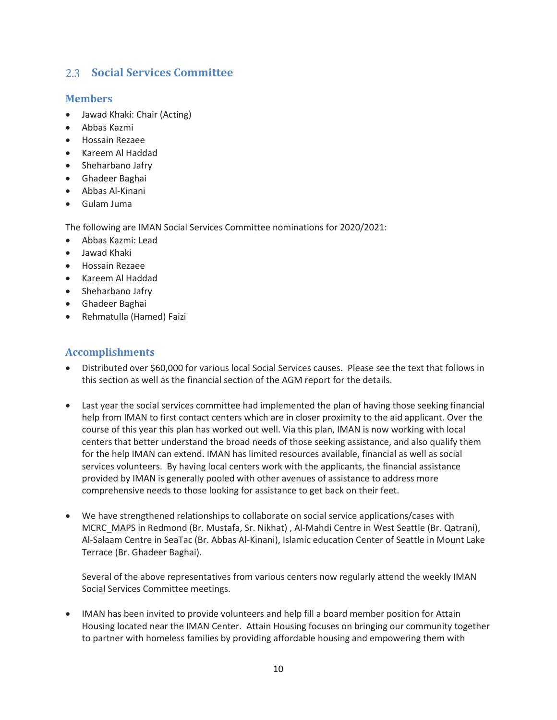## <span id="page-9-0"></span>**Social Services Committee**

## **Members**

- Jawad Khaki: Chair (Acting)
- Abbas Kazmi
- Hossain Rezaee
- Kareem Al Haddad
- Sheharbano Jafry
- Ghadeer Baghai
- Abbas Al-Kinani
- Gulam Juma

The following are IMAN Social Services Committee nominations for 2020/2021:

- Abbas Kazmi: Lead
- Jawad Khaki
- Hossain Rezaee
- Kareem Al Haddad
- Sheharbano Jafry
- Ghadeer Baghai
- Rehmatulla (Hamed) Faizi

## **Accomplishments**

- Distributed over \$60,000 for various local Social Services causes. Please see the text that follows in this section as well as the financial section of the AGM report for the details.
- Last year the social services committee had implemented the plan of having those seeking financial help from IMAN to first contact centers which are in closer proximity to the aid applicant. Over the course of this year this plan has worked out well. Via this plan, IMAN is now working with local centers that better understand the broad needs of those seeking assistance, and also qualify them for the help IMAN can extend. IMAN has limited resources available, financial as well as social services volunteers. By having local centers work with the applicants, the financial assistance provided by IMAN is generally pooled with other avenues of assistance to address more comprehensive needs to those looking for assistance to get back on their feet.
- We have strengthened relationships to collaborate on social service applications/cases with MCRC\_MAPS in Redmond (Br. Mustafa, Sr. Nikhat) , Al-Mahdi Centre in West Seattle (Br. Qatrani), Al-Salaam Centre in SeaTac (Br. Abbas Al-Kinani), Islamic education Center of Seattle in Mount Lake Terrace (Br. Ghadeer Baghai).

Several of the above representatives from various centers now regularly attend the weekly IMAN Social Services Committee meetings.

• IMAN has been invited to provide volunteers and help fill a board member position for Attain Housing located near the IMAN Center. Attain Housing focuses on bringing our community together to partner with homeless families by providing affordable housing and empowering them with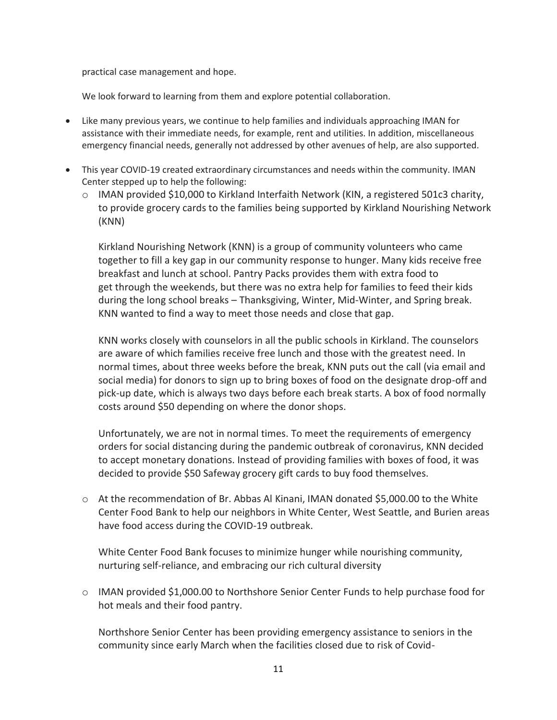practical case management and hope.

We look forward to learning from them and explore potential collaboration.

- Like many previous years, we continue to help families and individuals approaching IMAN for assistance with their immediate needs, for example, rent and utilities. In addition, miscellaneous emergency financial needs, generally not addressed by other avenues of help, are also supported.
- This year COVID-19 created extraordinary circumstances and needs within the community. IMAN Center stepped up to help the following:
	- o IMAN provided \$10,000 to Kirkland Interfaith Network (KIN, a registered 501c3 charity, to provide grocery cards to the families being supported by Kirkland Nourishing Network (KNN)

Kirkland Nourishing Network (KNN) is a group of community volunteers who came together to fill a key gap in our community response to hunger. Many kids receive free breakfast and lunch at school. Pantry Packs provides them with extra food to get through the weekends, but there was no extra help for families to feed their kids during the long school breaks – Thanksgiving, Winter, Mid-Winter, and Spring break. KNN wanted to find a way to meet those needs and close that gap.

KNN works closely with counselors in all the public schools in Kirkland. The counselors are aware of which families receive free lunch and those with the greatest need. In normal times, about three weeks before the break, KNN puts out the call (via email and social media) for donors to sign up to bring boxes of food on the designate drop-off and pick-up date, which is always two days before each break starts. A box of food normally costs around \$50 depending on where the donor shops.

Unfortunately, we are not in normal times. To meet the requirements of emergency orders for social distancing during the pandemic outbreak of coronavirus, KNN decided to accept monetary donations. Instead of providing families with boxes of food, it was decided to provide \$50 Safeway grocery gift cards to buy food themselves.

 $\circ$  At the recommendation of Br. Abbas Al Kinani, IMAN donated \$5,000.00 to the White Center Food Bank to help our neighbors in White Center, West Seattle, and Burien areas have food access during the COVID-19 outbreak.

White Center Food Bank focuses to minimize hunger while nourishing community, nurturing self-reliance, and embracing our rich cultural diversity

o IMAN provided \$1,000.00 to Northshore Senior Center Funds to help purchase food for hot meals and their food pantry.

Northshore Senior Center has been providing emergency assistance to seniors in the community since early March when the facilities closed due to risk of Covid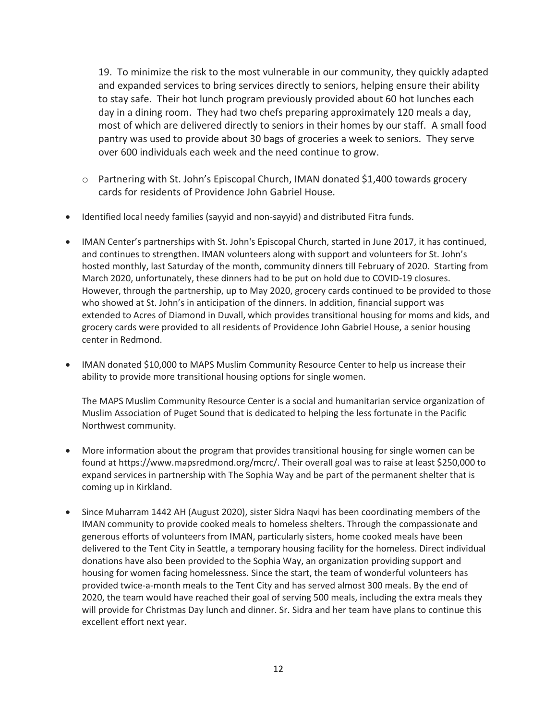19. To minimize the risk to the most vulnerable in our community, they quickly adapted and expanded services to bring services directly to seniors, helping ensure their ability to stay safe. Their hot lunch program previously provided about 60 hot lunches each day in a dining room. They had two chefs preparing approximately 120 meals a day, most of which are delivered directly to seniors in their homes by our staff. A small food pantry was used to provide about 30 bags of groceries a week to seniors. They serve over 600 individuals each week and the need continue to grow.

- o Partnering with St. John's Episcopal Church, IMAN donated \$1,400 towards grocery cards for residents of Providence John Gabriel House.
- Identified local needy families (sayyid and non-sayyid) and distributed Fitra funds.
- IMAN Center's partnerships with St. John's Episcopal Church, started in June 2017, it has continued, and continues to strengthen. IMAN volunteers along with support and volunteers for St. John's hosted monthly, last Saturday of the month, community dinners till February of 2020. Starting from March 2020, unfortunately, these dinners had to be put on hold due to COVID-19 closures. However, through the partnership, up to May 2020, grocery cards continued to be provided to those who showed at St. John's in anticipation of the dinners. In addition, financial support was extended to Acres of Diamond in Duvall, which provides transitional housing for moms and kids, and grocery cards were provided to all residents of Providence John Gabriel House, a senior housing center in Redmond.
- IMAN donated \$10,000 to MAPS Muslim Community Resource Center to help us increase their ability to provide more transitional housing options for single women.

The MAPS Muslim Community Resource Center is a social and humanitarian service organization of Muslim Association of Puget Sound that is dedicated to helping the less fortunate in the Pacific Northwest community.

- More information about the program that provides transitional housing for single women can be found at https://www.mapsredmond.org/mcrc/. Their overall goal was to raise at least \$250,000 to expand services in partnership with The Sophia Way and be part of the permanent shelter that is coming up in Kirkland.
- Since Muharram 1442 AH (August 2020), sister Sidra Naqvi has been coordinating members of the IMAN community to provide cooked meals to homeless shelters. Through the compassionate and generous efforts of volunteers from IMAN, particularly sisters, home cooked meals have been delivered to the Tent City in Seattle, a temporary housing facility for the homeless. Direct individual donations have also been provided to the Sophia Way, an organization providing support and housing for women facing homelessness. Since the start, the team of wonderful volunteers has provided twice-a-month meals to the Tent City and has served almost 300 meals. By the end of 2020, the team would have reached their goal of serving 500 meals, including the extra meals they will provide for Christmas Day lunch and dinner. Sr. Sidra and her team have plans to continue this excellent effort next year.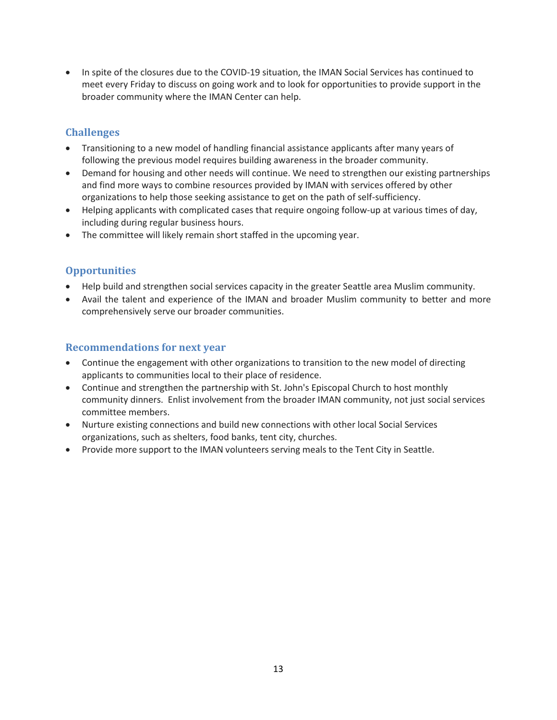• In spite of the closures due to the COVID-19 situation, the IMAN Social Services has continued to meet every Friday to discuss on going work and to look for opportunities to provide support in the broader community where the IMAN Center can help.

## **Challenges**

- Transitioning to a new model of handling financial assistance applicants after many years of following the previous model requires building awareness in the broader community.
- Demand for housing and other needs will continue. We need to strengthen our existing partnerships and find more ways to combine resources provided by IMAN with services offered by other organizations to help those seeking assistance to get on the path of self-sufficiency.
- Helping applicants with complicated cases that require ongoing follow-up at various times of day, including during regular business hours.
- The committee will likely remain short staffed in the upcoming year.

## **Opportunities**

- Help build and strengthen social services capacity in the greater Seattle area Muslim community.
- Avail the talent and experience of the IMAN and broader Muslim community to better and more comprehensively serve our broader communities.

## **Recommendations for next year**

- Continue the engagement with other organizations to transition to the new model of directing applicants to communities local to their place of residence.
- Continue and strengthen the partnership with St. John's Episcopal Church to host monthly community dinners. Enlist involvement from the broader IMAN community, not just social services committee members.
- Nurture existing connections and build new connections with other local Social Services organizations, such as shelters, food banks, tent city, churches.
- Provide more support to the IMAN volunteers serving meals to the Tent City in Seattle.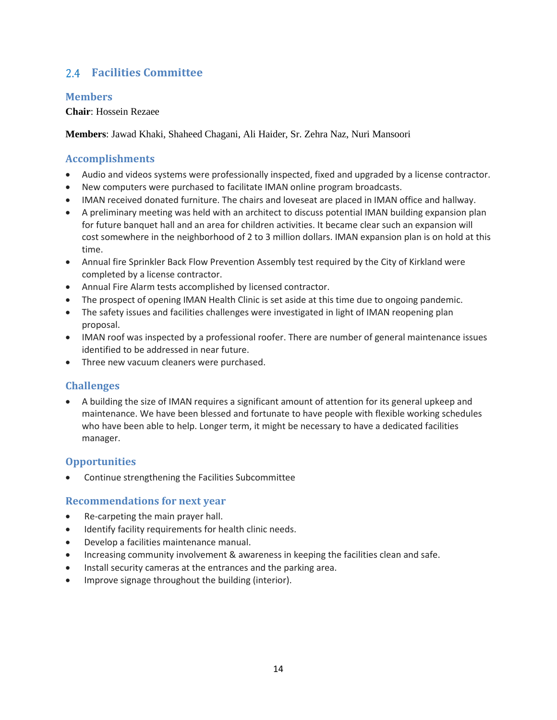## <span id="page-13-0"></span>**Facilities Committee**

## **Members**

#### **Chair**: Hossein Rezaee

**Members**: Jawad Khaki, Shaheed Chagani, Ali Haider, Sr. Zehra Naz, Nuri Mansoori

## **Accomplishments**

- Audio and videos systems were professionally inspected, fixed and upgraded by a license contractor.
- New computers were purchased to facilitate IMAN online program broadcasts.
- IMAN received donated furniture. The chairs and loveseat are placed in IMAN office and hallway.
- A preliminary meeting was held with an architect to discuss potential IMAN building expansion plan for future banquet hall and an area for children activities. It became clear such an expansion will cost somewhere in the neighborhood of 2 to 3 million dollars. IMAN expansion plan is on hold at this time.
- Annual fire Sprinkler Back Flow Prevention Assembly test required by the City of Kirkland were completed by a license contractor.
- Annual Fire Alarm tests accomplished by licensed contractor.
- The prospect of opening IMAN Health Clinic is set aside at this time due to ongoing pandemic.
- The safety issues and facilities challenges were investigated in light of IMAN reopening plan proposal.
- IMAN roof was inspected by a professional roofer. There are number of general maintenance issues identified to be addressed in near future.
- Three new vacuum cleaners were purchased.

## **Challenges**

• A building the size of IMAN requires a significant amount of attention for its general upkeep and maintenance. We have been blessed and fortunate to have people with flexible working schedules who have been able to help. Longer term, it might be necessary to have a dedicated facilities manager.

## **Opportunities**

• Continue strengthening the Facilities Subcommittee

## **Recommendations for next year**

- Re-carpeting the main prayer hall.
- Identify facility requirements for health clinic needs.
- Develop a facilities maintenance manual.
- Increasing community involvement & awareness in keeping the facilities clean and safe.
- Install security cameras at the entrances and the parking area.
- Improve signage throughout the building (interior).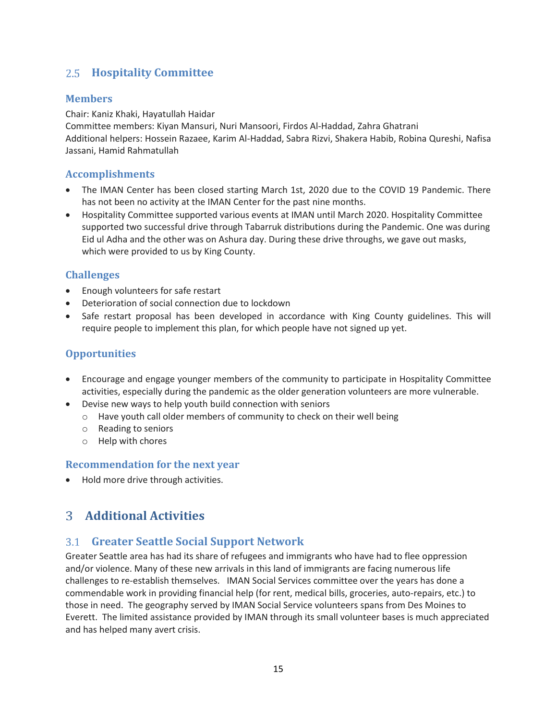## <span id="page-14-0"></span>**Hospitality Committee**

## **Members**

#### Chair: Kaniz Khaki, Hayatullah Haidar

Committee members: Kiyan Mansuri, Nuri Mansoori, Firdos Al-Haddad, Zahra Ghatrani Additional helpers: Hossein Razaee, Karim Al-Haddad, Sabra Rizvi, Shakera Habib, Robina Qureshi, Nafisa Jassani, Hamid Rahmatullah

## **Accomplishments**

- The IMAN Center has been closed starting March 1st, 2020 due to the COVID 19 Pandemic. There has not been no activity at the IMAN Center for the past nine months.
- Hospitality Committee supported various events at IMAN until March 2020. Hospitality Committee supported two successful drive through Tabarruk distributions during the Pandemic. One was during Eid ul Adha and the other was on Ashura day. During these drive throughs, we gave out masks, which were provided to us by King County.

## **Challenges**

- Enough volunteers for safe restart
- Deterioration of social connection due to lockdown
- Safe restart proposal has been developed in accordance with King County guidelines. This will require people to implement this plan, for which people have not signed up yet.

## **Opportunities**

- Encourage and engage younger members of the community to participate in Hospitality Committee activities, especially during the pandemic as the older generation volunteers are more vulnerable.
- Devise new ways to help youth build connection with seniors
	- o Have youth call older members of community to check on their well being
	- o Reading to seniors
	- o Help with chores

## **Recommendation for the next year**

<span id="page-14-1"></span>• Hold more drive through activities.

## **Additional Activities**

## <span id="page-14-2"></span>**Greater Seattle Social Support Network**

Greater Seattle area has had its share of refugees and immigrants who have had to flee oppression and/or violence. Many of these new arrivals in this land of immigrants are facing numerous life challenges to re-establish themselves. IMAN Social Services committee over the years has done a commendable work in providing financial help (for rent, medical bills, groceries, auto-repairs, etc.) to those in need. The geography served by IMAN Social Service volunteers spans from Des Moines to Everett. The limited assistance provided by IMAN through its small volunteer bases is much appreciated and has helped many avert crisis.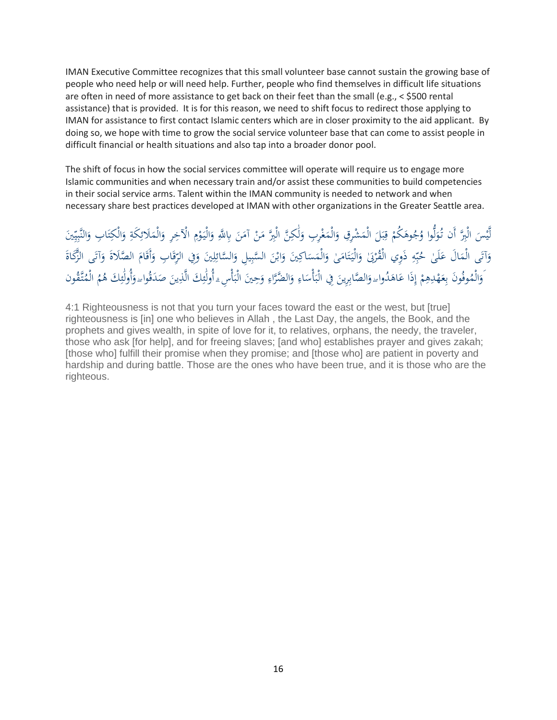IMAN Executive Committee recognizes that this small volunteer base cannot sustain the growing base of people who need help or will need help. Further, people who find themselves in difficult life situations are often in need of more assistance to get back on their feet than the small (e.g., < \$500 rental assistance) that is provided. It is for this reason, we need to shift focus to redirect those applying to IMAN for assistance to first contact Islamic centers which are in closer proximity to the aid applicant. By doing so, we hope with time to grow the social service volunteer base that can come to assist people in difficult financial or health situations and also tap into a broader donor pool.

The shift of focus in how the social services committee will operate will require us to engage more Islamic communities and when necessary train and/or assist these communities to build competencies in their social service arms. Talent within the IMAN community is needed to network and when necessary share best practices developed at IMAN with other organizations in the Greater Seattle area.

ْ لَّيْسَ الْبِرَّ أَن تُوَلُّوا وُجُوهَكُمْ قِبَلَ الْمَشْرِقِ وَالْمَغْرِبِ وَلَٰكِنَّ الْبِرَّ مَنْ آمَنَ بِاللَّهِ وَالْيَوْمِ الْآخِرِ وَالْمَلَائِكَةِ وَالْكِتَابِ وَالنَّبِيِّينَ  $\ddot{\phantom{0}}$ َ َ <u>:</u> َٰ لَ َ .<br>.  $\overline{a}$ َ  $\overline{a}$ ٍ<br>ب ب ر ْ **م** ل َ ٔ<br>ا ي ر ر ي ر َ ; ت َ <u>بة</u> ر  $\overline{a}$ َ ر وَآتَى الْمَالَ عَلَىٰ حُبِّهِ ذَوِي الْقُرْبَىٰ وَالْيَتَامَىٰ وَالْمَسَاكِينَ وَابْنَ السَّبِيلِ وَالسَّائِلِينَ وَفِي الرِّقَابِ وَأَقَامَ الصَّلَاةَ وَآتَى الزَّكَاةَ َ ر ر<br>را َ ر :<br>ا َ </sub> َ الم<br>ا ت  $\ddot{\phantom{0}}$ َ ر بر ب **ء**  $\ddot{\phantom{0}}$ َ ة<br>م َ مُ َ َ َ َ وَالْمُوفُونَ بِعَهْدِهِمْ إِذَا عَاهَدُواۦوَالصَّابِرِينَ فِي الْبَأْسَاءِ وَالضَّرَّاءِ وَحِينَ الْبَأْسِءِ أُولَٰئِكَ الَّذِينَ صَدَقُواۦوَأُولَٰئِكَ هُمُ الْمُتَّقُون </sub><br>د ر إ ْ ر َ ر َ ر مد َٰ َ ا<br>ا  $\ddot{\phantom{0}}$ ر ئ َٰ  $\ddot{\cdot}$ ر َ ر ا<br>ا  $\ddot{\cdot}$ َ َ

4:1 Righteousness is not that you turn your faces toward the east or the west, but [true] righteousness is [in] one who believes in Allah , the Last Day, the angels, the Book, and the prophets and gives wealth, in spite of love for it, to relatives, orphans, the needy, the traveler, those who ask [for help], and for freeing slaves; [and who] establishes prayer and gives zakah; [those who] fulfill their promise when they promise; and [those who] are patient in poverty and hardship and during battle. Those are the ones who have been true, and it is those who are the righteous.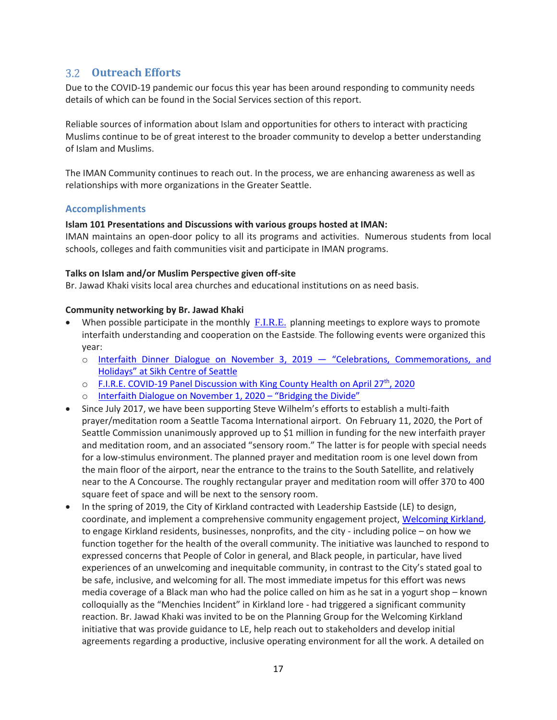## <span id="page-16-0"></span>**Outreach Efforts**

Due to the COVID-19 pandemic our focus this year has been around responding to community needs details of which can be found in the Social Services section of this report.

Reliable sources of information about Islam and opportunities for others to interact with practicing Muslims continue to be of great interest to the broader community to develop a better understanding of Islam and Muslims.

The IMAN Community continues to reach out. In the process, we are enhancing awareness as well as relationships with more organizations in the Greater Seattle.

#### **Accomplishments**

#### **Islam 101 Presentations and Discussions with various groups hosted at IMAN:**

IMAN maintains an open-door policy to all its programs and activities. Numerous students from local schools, colleges and faith communities visit and participate in IMAN programs.

#### **Talks on Islam and/or Muslim Perspective given off-site**

Br. Jawad Khaki visits local area churches and educational institutions on as need basis.

#### **Community networking by Br. Jawad Khaki**

- When possible participate in the monthly  $F_{\cdot}I_{\cdot}R_{\cdot}E_{\cdot}$  planning meetings to explore ways to promote interfaith understanding and cooperation on the Eastside. The following events were organized this year:
	- o [Interfaith Dinner Dialogue on November 3, 2019](https://fire-wa.org/interfaith-dinner-dialogue-on-nov-3/) "Celebrations, Commemorations, and Holidays" [at Sikh Centre of Seattle](https://fire-wa.org/interfaith-dinner-dialogue-on-nov-3/)
	- $\circ$  [F.I.R.E. COVID-19 Panel Discussion with King County Health](https://youtu.be/L1s0zrQUixA) on April 27<sup>th</sup>, 2020
	- o [Interfaith Dialogue on November 1, 2020](https://fire-wa.org/interfaith-dialogue-on-november-1-bridging-the-divide/)  "Bridging the Divide"
- Since July 2017, we have been supporting Steve Wilhelm's efforts to establish a multi-faith prayer/meditation room a Seattle Tacoma International airport. On February 11, 2020, the Port of Seattle Commission unanimously approved up to \$1 million in funding for the new interfaith prayer and meditation room, and an associated "sensory room." The latter is for people with special needs for a low-stimulus environment. The planned prayer and meditation room is one level down from the main floor of the airport, near the entrance to the trains to the South Satellite, and relatively near to the A Concourse. The roughly rectangular prayer and meditation room will offer 370 to 400 square feet of space and will be next to the sensory room.
- In the spring of 2019, the City of Kirkland contracted with Leadership Eastside (LE) to design, coordinate, and implement a comprehensive community engagement project, [Welcoming Kirkland,](https://www.kirklandwa.gov/NewsRoom/Welcoming_Kirkland_Initiative_Report_to_the_Community_Completed.htm) to engage Kirkland residents, businesses, nonprofits, and the city - including police – on how we function together for the health of the overall community. The initiative was launched to respond to expressed concerns that People of Color in general, and Black people, in particular, have lived experiences of an unwelcoming and inequitable community, in contrast to the City's stated goal to be safe, inclusive, and welcoming for all. The most immediate impetus for this effort was news media coverage of a Black man who had the police called on him as he sat in a yogurt shop – known colloquially as the "Menchies Incident" in Kirkland lore - had triggered a significant community reaction. Br. Jawad Khaki was invited to be on the Planning Group for the Welcoming Kirkland initiative that was provide guidance to LE, help reach out to stakeholders and develop initial agreements regarding a productive, inclusive operating environment for all the work. A detailed on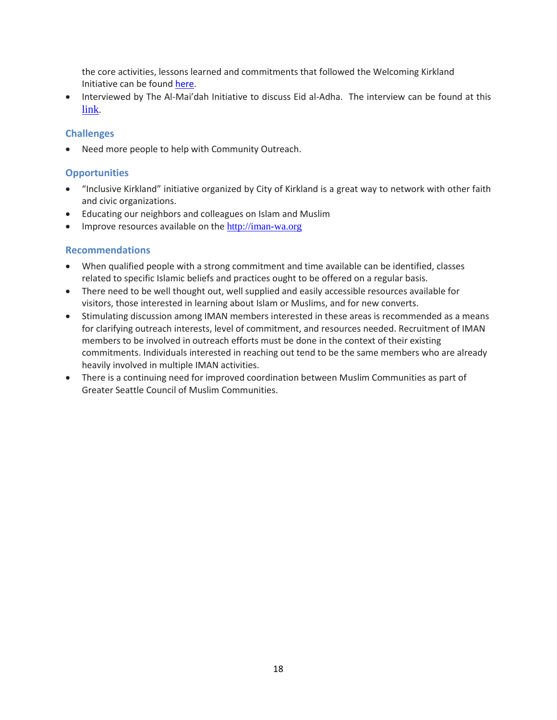the core activities, lessons learned and commitments that followed the Welcoming Kirkland Initiative can be foun[d here.](https://www.kirklandwa.gov/Assets/CMO/CMO+PDFs/Welcoming+Kirkland+Initiative+-+Lessons+and+Commitments.pdf)

• Interviewed by The Al-Mai'dah Initiative to discuss Eid al-Adha. The interview can be found at this [link](https://youtu.be/fB-fhgNXheQ).

#### **Challenges**

• Need more people to help with Community Outreach.

#### **Opportunities**

- "Inclusive Kirkland" initiative organized by City of Kirkland is a great way to network with other faith and civic organizations.
- Educating our neighbors and colleagues on Islam and Muslim
- Improve resources available on the [http://iman-wa.org](http://iman-wa.org/)

#### **Recommendations**

- When qualified people with a strong commitment and time available can be identified, classes related to specific Islamic beliefs and practices ought to be offered on a regular basis.
- There need to be well thought out, well supplied and easily accessible resources available for visitors, those interested in learning about Islam or Muslims, and for new converts.
- Stimulating discussion among IMAN members interested in these areas is recommended as a means for clarifying outreach interests, level of commitment, and resources needed. Recruitment of IMAN members to be involved in outreach efforts must be done in the context of their existing commitments. Individuals interested in reaching out tend to be the same members who are already heavily involved in multiple IMAN activities.
- There is a continuing need for improved coordination between Muslim Communities as part of Greater Seattle Council of Muslim Communities.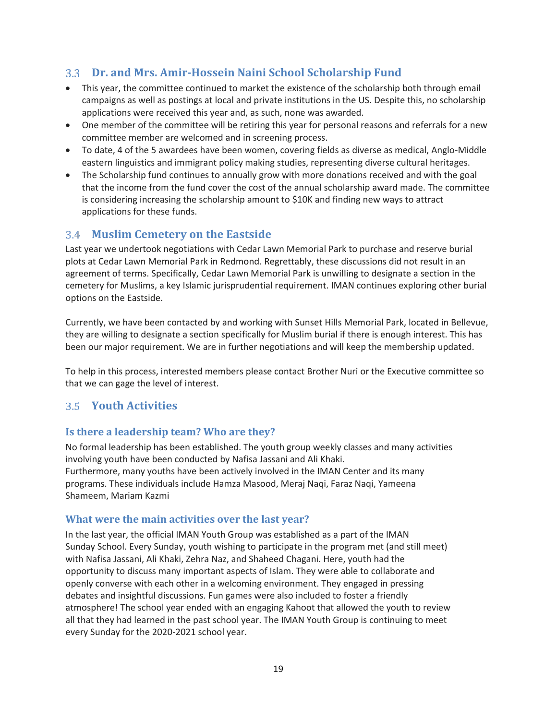## <span id="page-18-0"></span>**Dr. and Mrs. Amir-Hossein Naini School Scholarship Fund**

- This year, the committee continued to market the existence of the scholarship both through email campaigns as well as postings at local and private institutions in the US. Despite this, no scholarship applications were received this year and, as such, none was awarded.
- One member of the committee will be retiring this year for personal reasons and referrals for a new committee member are welcomed and in screening process.
- To date, 4 of the 5 awardees have been women, covering fields as diverse as medical, Anglo-Middle eastern linguistics and immigrant policy making studies, representing diverse cultural heritages.
- The Scholarship fund continues to annually grow with more donations received and with the goal that the income from the fund cover the cost of the annual scholarship award made. The committee is considering increasing the scholarship amount to \$10K and finding new ways to attract applications for these funds.

## <span id="page-18-1"></span>**Muslim Cemetery on the Eastside**

Last year we undertook negotiations with Cedar Lawn Memorial Park to purchase and reserve burial plots at Cedar Lawn Memorial Park in Redmond. Regrettably, these discussions did not result in an agreement of terms. Specifically, Cedar Lawn Memorial Park is unwilling to designate a section in the cemetery for Muslims, a key Islamic jurisprudential requirement. IMAN continues exploring other burial options on the Eastside.

Currently, we have been contacted by and working with Sunset Hills Memorial Park, located in Bellevue, they are willing to designate a section specifically for Muslim burial if there is enough interest. This has been our major requirement. We are in further negotiations and will keep the membership updated.

To help in this process, interested members please contact Brother Nuri or the Executive committee so that we can gage the level of interest.

## <span id="page-18-2"></span>**Youth Activities**

## **Is there a leadership team? Who are they?**

No formal leadership has been established. The youth group weekly classes and many activities involving youth have been conducted by Nafisa Jassani and Ali Khaki. Furthermore, many youths have been actively involved in the IMAN Center and its many programs. These individuals include Hamza Masood, Meraj Naqi, Faraz Naqi, Yameena Shameem, Mariam Kazmi

## **What were the main activities over the last year?**

In the last year, the official IMAN Youth Group was established as a part of the IMAN Sunday School. Every Sunday, youth wishing to participate in the program met (and still meet) with Nafisa Jassani, Ali Khaki, Zehra Naz, and Shaheed Chagani. Here, youth had the opportunity to discuss many important aspects of Islam. They were able to collaborate and openly converse with each other in a welcoming environment. They engaged in pressing debates and insightful discussions. Fun games were also included to foster a friendly atmosphere! The school year ended with an engaging Kahoot that allowed the youth to review all that they had learned in the past school year. The IMAN Youth Group is continuing to meet every Sunday for the 2020-2021 school year.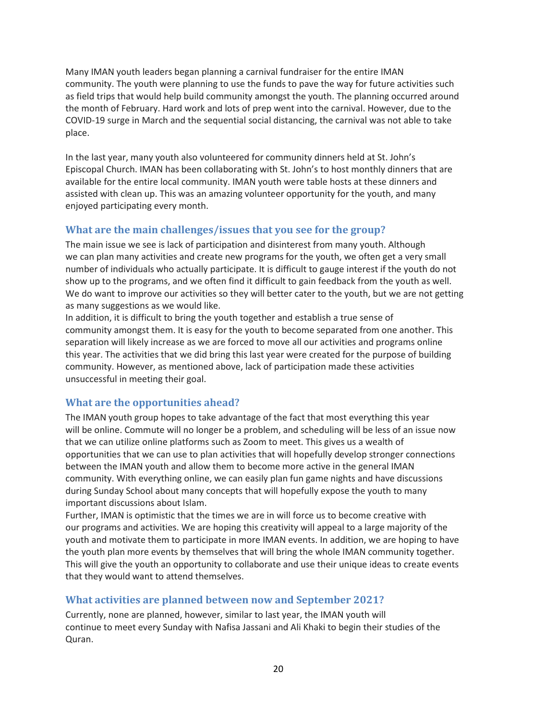Many IMAN youth leaders began planning a carnival fundraiser for the entire IMAN community. The youth were planning to use the funds to pave the way for future activities such as field trips that would help build community amongst the youth. The planning occurred around the month of February. Hard work and lots of prep went into the carnival. However, due to the COVID-19 surge in March and the sequential social distancing, the carnival was not able to take place.

In the last year, many youth also volunteered for community dinners held at St. John's Episcopal Church. IMAN has been collaborating with St. John's to host monthly dinners that are available for the entire local community. IMAN youth were table hosts at these dinners and assisted with clean up. This was an amazing volunteer opportunity for the youth, and many enjoyed participating every month.

## **What are the main challenges/issues that you see for the group?**

The main issue we see is lack of participation and disinterest from many youth. Although we can plan many activities and create new programs for the youth, we often get a very small number of individuals who actually participate. It is difficult to gauge interest if the youth do not show up to the programs, and we often find it difficult to gain feedback from the youth as well. We do want to improve our activities so they will better cater to the youth, but we are not getting as many suggestions as we would like.

In addition, it is difficult to bring the youth together and establish a true sense of community amongst them. It is easy for the youth to become separated from one another. This separation will likely increase as we are forced to move all our activities and programs online this year. The activities that we did bring this last year were created for the purpose of building community. However, as mentioned above, lack of participation made these activities unsuccessful in meeting their goal.

## **What are the opportunities ahead?**

The IMAN youth group hopes to take advantage of the fact that most everything this year will be online. Commute will no longer be a problem, and scheduling will be less of an issue now that we can utilize online platforms such as Zoom to meet. This gives us a wealth of opportunities that we can use to plan activities that will hopefully develop stronger connections between the IMAN youth and allow them to become more active in the general IMAN community. With everything online, we can easily plan fun game nights and have discussions during Sunday School about many concepts that will hopefully expose the youth to many important discussions about Islam.

Further, IMAN is optimistic that the times we are in will force us to become creative with our programs and activities. We are hoping this creativity will appeal to a large majority of the youth and motivate them to participate in more IMAN events. In addition, we are hoping to have the youth plan more events by themselves that will bring the whole IMAN community together. This will give the youth an opportunity to collaborate and use their unique ideas to create events that they would want to attend themselves.

## **What activities are planned between now and September 2021?**

Currently, none are planned, however, similar to last year, the IMAN youth will continue to meet every Sunday with Nafisa Jassani and Ali Khaki to begin their studies of the Quran.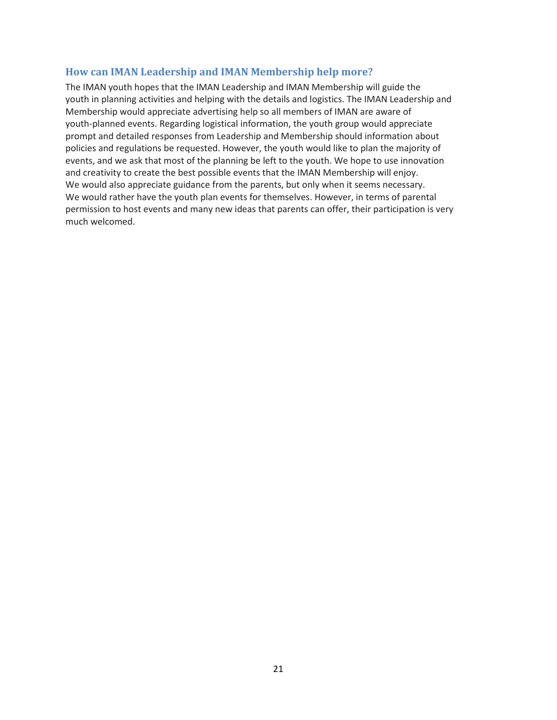#### **How can IMAN Leadership and IMAN Membership help more?**

The IMAN youth hopes that the IMAN Leadership and IMAN Membership will guide the youth in planning activities and helping with the details and logistics. The IMAN Leadership and Membership would appreciate advertising help so all members of IMAN are aware of youth-planned events. Regarding logistical information, the youth group would appreciate prompt and detailed responses from Leadership and Membership should information about policies and regulations be requested. However, the youth would like to plan the majority of events, and we ask that most of the planning be left to the youth. We hope to use innovation and creativity to create the best possible events that the IMAN Membership will enjoy. We would also appreciate guidance from the parents, but only when it seems necessary. We would rather have the youth plan events for themselves. However, in terms of parental permission to host events and many new ideas that parents can offer, their participation is very much welcomed.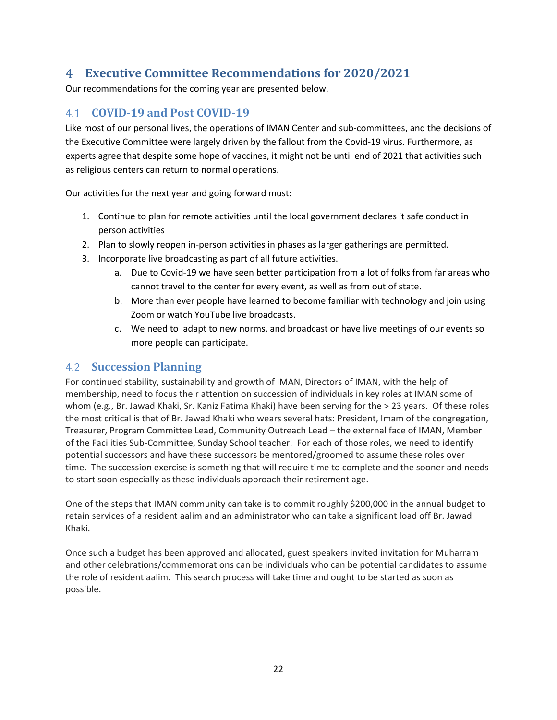## <span id="page-21-0"></span>**Executive Committee Recommendations for 2020/2021**

Our recommendations for the coming year are presented below.

## <span id="page-21-1"></span>**COVID-19 and Post COVID-19**

Like most of our personal lives, the operations of IMAN Center and sub-committees, and the decisions of the Executive Committee were largely driven by the fallout from the Covid-19 virus. Furthermore, as experts agree that despite some hope of vaccines, it might not be until end of 2021 that activities such as religious centers can return to normal operations.

Our activities for the next year and going forward must:

- 1. Continue to plan for remote activities until the local government declares it safe conduct in person activities
- 2. Plan to slowly reopen in-person activities in phases as larger gatherings are permitted.
- 3. Incorporate live broadcasting as part of all future activities.
	- a. Due to Covid-19 we have seen better participation from a lot of folks from far areas who cannot travel to the center for every event, as well as from out of state.
	- b. More than ever people have learned to become familiar with technology and join using Zoom or watch YouTube live broadcasts.
	- c. We need to adapt to new norms, and broadcast or have live meetings of our events so more people can participate.

## <span id="page-21-2"></span>**Succession Planning**

For continued stability, sustainability and growth of IMAN, Directors of IMAN, with the help of membership, need to focus their attention on succession of individuals in key roles at IMAN some of whom (e.g., Br. Jawad Khaki, Sr. Kaniz Fatima Khaki) have been serving for the > 23 years. Of these roles the most critical is that of Br. Jawad Khaki who wears several hats: President, Imam of the congregation, Treasurer, Program Committee Lead, Community Outreach Lead – the external face of IMAN, Member of the Facilities Sub-Committee, Sunday School teacher. For each of those roles, we need to identify potential successors and have these successors be mentored/groomed to assume these roles over time. The succession exercise is something that will require time to complete and the sooner and needs to start soon especially as these individuals approach their retirement age.

One of the steps that IMAN community can take is to commit roughly \$200,000 in the annual budget to retain services of a resident aalim and an administrator who can take a significant load off Br. Jawad Khaki.

Once such a budget has been approved and allocated, guest speakers invited invitation for Muharram and other celebrations/commemorations can be individuals who can be potential candidates to assume the role of resident aalim. This search process will take time and ought to be started as soon as possible.